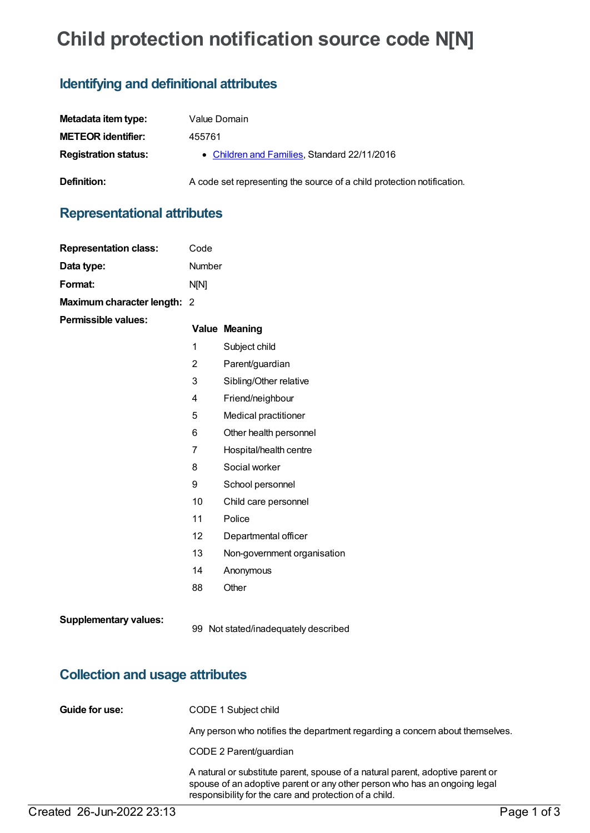# **Child protection notification source code N[N]**

# **Identifying and definitional attributes**

| Metadata item type:         | Value Domain                                                           |
|-----------------------------|------------------------------------------------------------------------|
| <b>METEOR identifier:</b>   | 455761                                                                 |
| <b>Registration status:</b> | • Children and Families, Standard 22/11/2016                           |
| Definition:                 | A code set representing the source of a child protection notification. |

# **Representational attributes**

**Representation class:** Code

| Data type:                             | Number                                                                                                                                                                                |                             |  |  |
|----------------------------------------|---------------------------------------------------------------------------------------------------------------------------------------------------------------------------------------|-----------------------------|--|--|
| Format:                                | N[N]                                                                                                                                                                                  |                             |  |  |
| Maximum character length: 2            |                                                                                                                                                                                       |                             |  |  |
| <b>Permissible values:</b>             |                                                                                                                                                                                       | <b>Value Meaning</b>        |  |  |
|                                        | 1                                                                                                                                                                                     | Subject child               |  |  |
|                                        | $\overline{2}$                                                                                                                                                                        | Parent/guardian             |  |  |
|                                        | 3                                                                                                                                                                                     | Sibling/Other relative      |  |  |
|                                        | 4                                                                                                                                                                                     | Friend/neighbour            |  |  |
|                                        | 5                                                                                                                                                                                     | Medical practitioner        |  |  |
|                                        | 6                                                                                                                                                                                     | Other health personnel      |  |  |
|                                        | 7                                                                                                                                                                                     | Hospital/health centre      |  |  |
|                                        | 8                                                                                                                                                                                     | Social worker               |  |  |
|                                        | 9                                                                                                                                                                                     | School personnel            |  |  |
|                                        | 10                                                                                                                                                                                    | Child care personnel        |  |  |
|                                        | 11                                                                                                                                                                                    | Police                      |  |  |
|                                        | 12                                                                                                                                                                                    | Departmental officer        |  |  |
|                                        | 13                                                                                                                                                                                    | Non-government organisation |  |  |
|                                        | 14                                                                                                                                                                                    | Anonymous                   |  |  |
|                                        | 88                                                                                                                                                                                    | Other                       |  |  |
| <b>Supplementary values:</b>           | 99 Not stated/inadequately described                                                                                                                                                  |                             |  |  |
| <b>Collection and usage attributes</b> |                                                                                                                                                                                       |                             |  |  |
| Guide for use:                         | CODE 1 Subject child                                                                                                                                                                  |                             |  |  |
|                                        | Any person who notifies the department regarding a concern about themselves.                                                                                                          |                             |  |  |
|                                        | CODE 2 Parent/guardian<br>A natural or substitute parent, spouse of a natural parent, adoptive parent or<br>spouse of an adoptive parent or any other person who has an ongoing legal |                             |  |  |
|                                        |                                                                                                                                                                                       |                             |  |  |

responsibility for the care and protection of a child.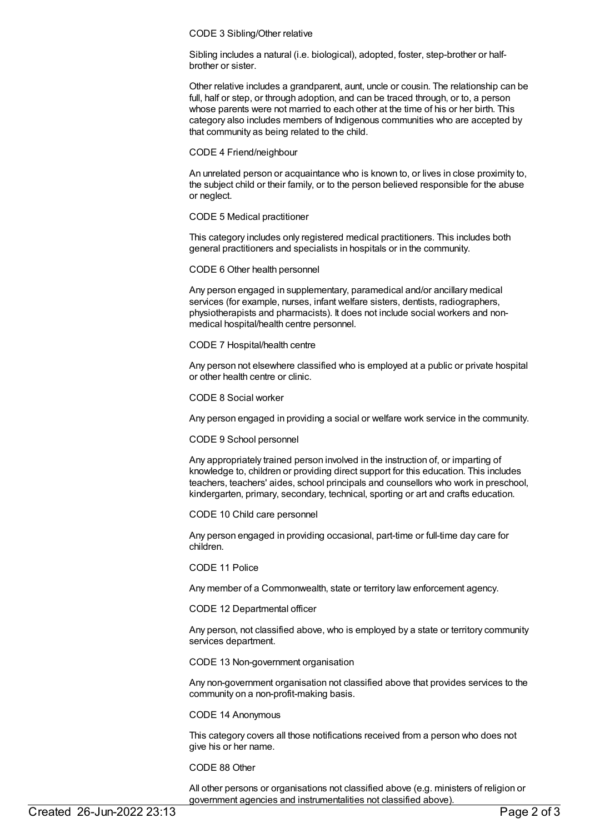#### CODE 3 Sibling/Other relative

Sibling includes a natural (i.e. biological), adopted, foster, step-brother or halfbrother or sister.

Other relative includes a grandparent, aunt, uncle or cousin. The relationship can be full, half or step, or through adoption, and can be traced through, or to, a person whose parents were not married to each other at the time of his or her birth. This category also includes members of Indigenous communities who are accepted by that community as being related to the child.

CODE 4 Friend/neighbour

An unrelated person or acquaintance who is known to, or lives in close proximity to, the subject child or their family, or to the person believed responsible for the abuse or neglect.

CODE 5 Medical practitioner

This category includes only registered medical practitioners. This includes both general practitioners and specialists in hospitals or in the community.

CODE 6 Other health personnel

Any person engaged in supplementary, paramedical and/or ancillary medical services (for example, nurses, infant welfare sisters, dentists, radiographers, physiotherapists and pharmacists). It does not include social workers and nonmedical hospital/health centre personnel.

CODE 7 Hospital/health centre

Any person not elsewhere classified who is employed at a public or private hospital or other health centre or clinic.

CODE 8 Social worker

Any person engaged in providing a social or welfare work service in the community.

CODE 9 School personnel

Any appropriately trained person involved in the instruction of, or imparting of knowledge to, children or providing direct support for this education. This includes teachers, teachers' aides, school principals and counsellors who work in preschool, kindergarten, primary, secondary, technical, sporting or art and crafts education.

CODE 10 Child care personnel

Any person engaged in providing occasional, part-time or full-time day care for children.

CODE 11 Police

Any member of a Commonwealth, state or territory law enforcement agency.

CODE 12 Departmental officer

Any person, not classified above, who is employed by a state or territory community services department.

CODE 13 Non-government organisation

Any non-government organisation not classified above that provides services to the community on a non-profit-making basis.

CODE 14 Anonymous

This category covers all those notifications received from a person who does not give his or her name.

CODE 88 Other

All other persons or organisations not classified above (e.g. ministers of religion or government agencies and instrumentalities not classified above).